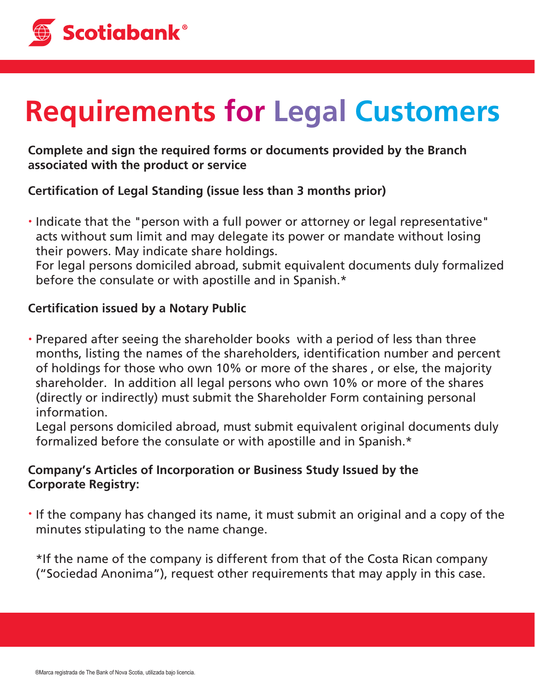

# **Requirements for Legal Customers**

**Complete and sign the required forms or documents provided by the Branch associated with the product or service** 

# **Certication of Legal Standing (issue less than 3 months prior)**

Indicate that the "person with a full power or attorney or legal representative" acts without sum limit and may delegate its power or mandate without losing their powers. May indicate share holdings.

For legal persons domiciled abroad, submit equivalent documents duly formalized before the consulate or with apostille and in Spanish.\*

# **Certification issued by a Notary Public**

Prepared after seeing the shareholder books with a period of less than three months, listing the names of the shareholders, identification number and percent of holdings for those who own 10% or more of the shares , or else, the majority shareholder. In addition all legal persons who own 10% or more of the shares (directly or indirectly) must submit the Shareholder Form containing personal information.

Legal persons domiciled abroad, must submit equivalent original documents duly formalized before the consulate or with apostille and in Spanish.\*

# **Company's Articles of Incorporation or Business Study Issued by the Corporate Registry:**

If the company has changed its name, it must submit an original and a copy of the minutes stipulating to the name change.

\*If the name of the company is different from that of the Costa Rican company ("Sociedad Anonima"), request other requirements that may apply in this case.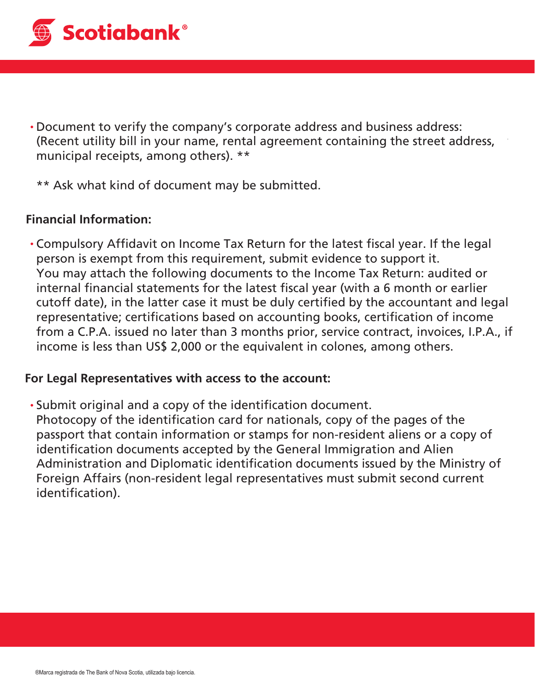

- Document to verify the company's corporate address and business address: (Recent utility bill in your name, rental agreement containing the street address, municipal receipts, among others). \*\*
	- \*\* Ask what kind of document may be submitted.

#### **Financial Information:**

• Compulsory Affidavit on Income Tax Return for the latest fiscal year. If the legal person is exempt from this requirement, submit evidence to support it. You may attach the following documents to the Income Tax Return: audited or internal financial statements for the latest fiscal year (with a 6 month or earlier cutoff date), in the latter case it must be duly certified by the accountant and legal representative; certifications based on accounting books, certification of income from a C.P.A. issued no later than 3 months prior, service contract, invoices, I.P.A., if income is less than US\$ 2,000 or the equivalent in colones, among others.

#### **For Legal Representatives with access to the account:**

• Submit original and a copy of the identification document. Photocopy of the identification card for nationals, copy of the pages of the passport that contain information or stamps for non-resident aliens or a copy of identification documents accepted by the General Immigration and Alien Administration and Diplomatic identification documents issued by the Ministry of Foreign Affairs (non-resident legal representatives must submit second current identification).